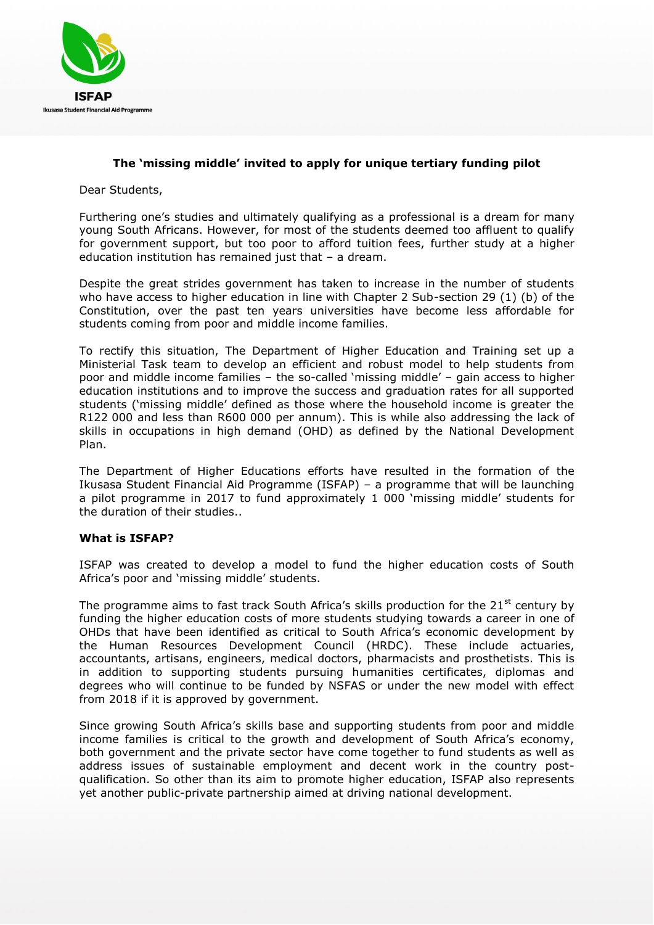

## **The 'missing middle' invited to apply for unique tertiary funding pilot**

Dear Students,

Furthering one's studies and ultimately qualifying as a professional is a dream for many young South Africans. However, for most of the students deemed too affluent to qualify for government support, but too poor to afford tuition fees, further study at a higher education institution has remained just that – a dream.

Despite the great strides government has taken to increase in the number of students who have access to higher education in line with Chapter 2 Sub-section 29 (1) (b) of the Constitution, over the past ten years universities have become less affordable for students coming from poor and middle income families.

To rectify this situation, The Department of Higher Education and Training set up a Ministerial Task team to develop an efficient and robust model to help students from poor and middle income families – the so-called 'missing middle' – gain access to higher education institutions and to improve the success and graduation rates for all supported students ('missing middle' defined as those where the household income is greater the R122 000 and less than R600 000 per annum). This is while also addressing the lack of skills in occupations in high demand (OHD) as defined by the National Development Plan.

The Department of Higher Educations efforts have resulted in the formation of the Ikusasa Student Financial Aid Programme (ISFAP) – a programme that will be launching a pilot programme in 2017 to fund approximately 1 000 'missing middle' students for the duration of their studies..

## **What is ISFAP?**

ISFAP was created to develop a model to fund the higher education costs of South Africa's poor and 'missing middle' students.

The programme aims to fast track South Africa's skills production for the  $21<sup>st</sup>$  century by funding the higher education costs of more students studying towards a career in one of OHDs that have been identified as critical to South Africa's economic development by the Human Resources Development Council (HRDC). These include actuaries, accountants, artisans, engineers, medical doctors, pharmacists and prosthetists. This is in addition to supporting students pursuing humanities certificates, diplomas and degrees who will continue to be funded by NSFAS or under the new model with effect from 2018 if it is approved by government.

Since growing South Africa's skills base and supporting students from poor and middle income families is critical to the growth and development of South Africa's economy, both government and the private sector have come together to fund students as well as address issues of sustainable employment and decent work in the country postqualification. So other than its aim to promote higher education, ISFAP also represents yet another public-private partnership aimed at driving national development.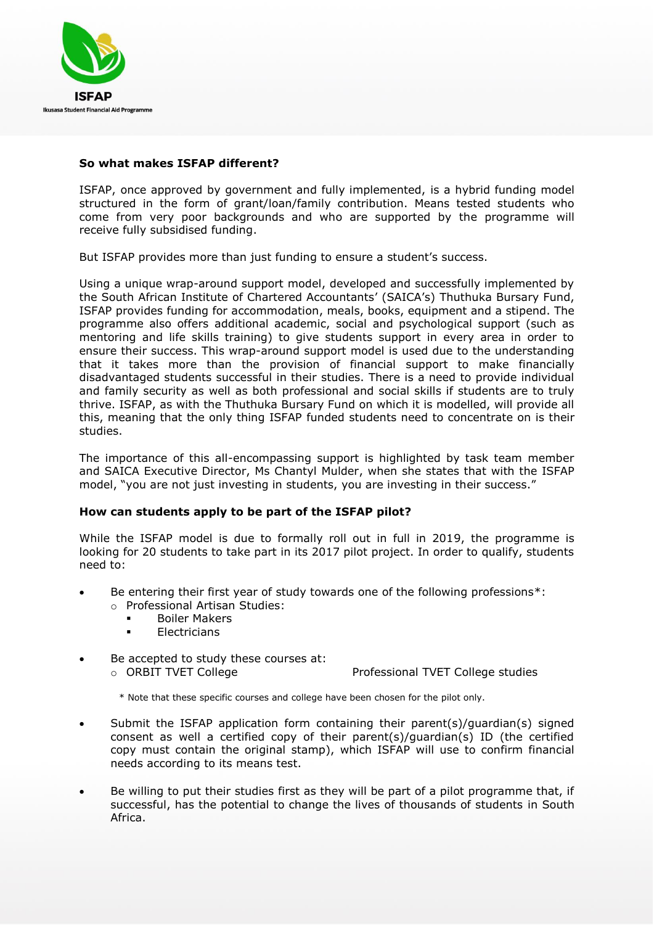

## **So what makes ISFAP different?**

ISFAP, once approved by government and fully implemented, is a hybrid funding model structured in the form of grant/loan/family contribution. Means tested students who come from very poor backgrounds and who are supported by the programme will receive fully subsidised funding.

But ISFAP provides more than just funding to ensure a student's success.

Using a unique wrap-around support model, developed and successfully implemented by the South African Institute of Chartered Accountants' (SAICA's) Thuthuka Bursary Fund, ISFAP provides funding for accommodation, meals, books, equipment and a stipend. The programme also offers additional academic, social and psychological support (such as mentoring and life skills training) to give students support in every area in order to ensure their success. This wrap-around support model is used due to the understanding that it takes more than the provision of financial support to make financially disadvantaged students successful in their studies. There is a need to provide individual and family security as well as both professional and social skills if students are to truly thrive. ISFAP, as with the Thuthuka Bursary Fund on which it is modelled, will provide all this, meaning that the only thing ISFAP funded students need to concentrate on is their studies.

The importance of this all-encompassing support is highlighted by task team member and SAICA Executive Director, Ms Chantyl Mulder, when she states that with the ISFAP model, "you are not just investing in students, you are investing in their success."

## **How can students apply to be part of the ISFAP pilot?**

While the ISFAP model is due to formally roll out in full in 2019, the programme is looking for 20 students to take part in its 2017 pilot project. In order to qualify, students need to:

- Be entering their first year of study towards one of the following professions\*:
	- o Professional Artisan Studies:
		- **Boiler Makers**
		- **Electricians**
- Be accepted to study these courses at: o ORBIT TVET College Professional TVET College studies

- \* Note that these specific courses and college have been chosen for the pilot only.
- Submit the ISFAP application form containing their parent(s)/guardian(s) signed consent as well a certified copy of their parent(s)/guardian(s) ID (the certified copy must contain the original stamp), which ISFAP will use to confirm financial needs according to its means test.
- Be willing to put their studies first as they will be part of a pilot programme that, if successful, has the potential to change the lives of thousands of students in South Africa.